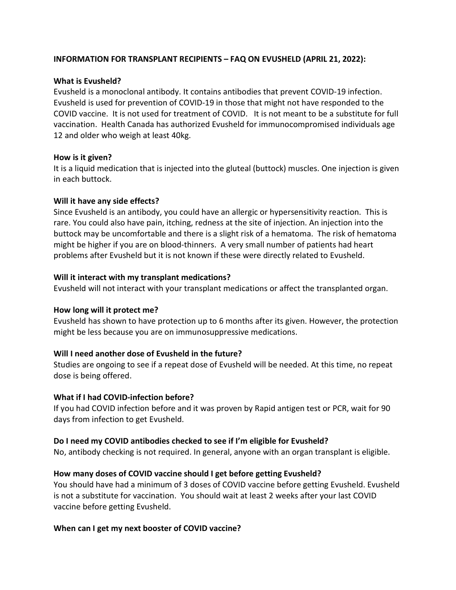## INFORMATION FOR TRANSPLANT RECIPIENTS – FAQ ON EVUSHELD (APRIL 21, 2022):

# What is Evusheld?

 Evusheld is a monoclonal antibody. It contains antibodies that prevent COVID-19 infection. Evusheld is used for prevention of COVID-19 in those that might not have responded to the COVID vaccine. It is not used for treatment of COVID. It is not meant to be a substitute for full vaccination. Health Canada has authorized Evusheld for immunocompromised individuals age 12 and older who weigh at least 40kg.

## How is it given?

 It is a liquid medication that is injected into the gluteal (buttock) muscles. One injection is given in each buttock.

### Will it have any side effects?

 Since Evusheld is an antibody, you could have an allergic or hypersensitivity reaction. This is rare. You could also have pain, itching, redness at the site of injection. An injection into the buttock may be uncomfortable and there is a slight risk of a hematoma. The risk of hematoma might be higher if you are on blood-thinners. A very small number of patients had heart problems after Evusheld but it is not known if these were directly related to Evusheld.

### Will it interact with my transplant medications?

Evusheld will not interact with your transplant medications or affect the transplanted organ.

# How long will it protect me?

 Evusheld has shown to have protection up to 6 months after its given. However, the protection might be less because you are on immunosuppressive medications.

# Will I need another dose of Evusheld in the future?

 Studies are ongoing to see if a repeat dose of Evusheld will be needed. At this time, no repeat dose is being offered.

# What if I had COVID-infection before?

 If you had COVID infection before and it was proven by Rapid antigen test or PCR, wait for 90 days from infection to get Evusheld.

# Do I need my COVID antibodies checked to see if I'm eligible for Evusheld?

No, antibody checking is not required. In general, anyone with an organ transplant is eligible.

# How many doses of COVID vaccine should I get before getting Evusheld?

 You should have had a minimum of 3 doses of COVID vaccine before getting Evusheld. Evusheld is not a substitute for vaccination. You should wait at least 2 weeks after your last COVID vaccine before getting Evusheld.

# When can I get my next booster of COVID vaccine?